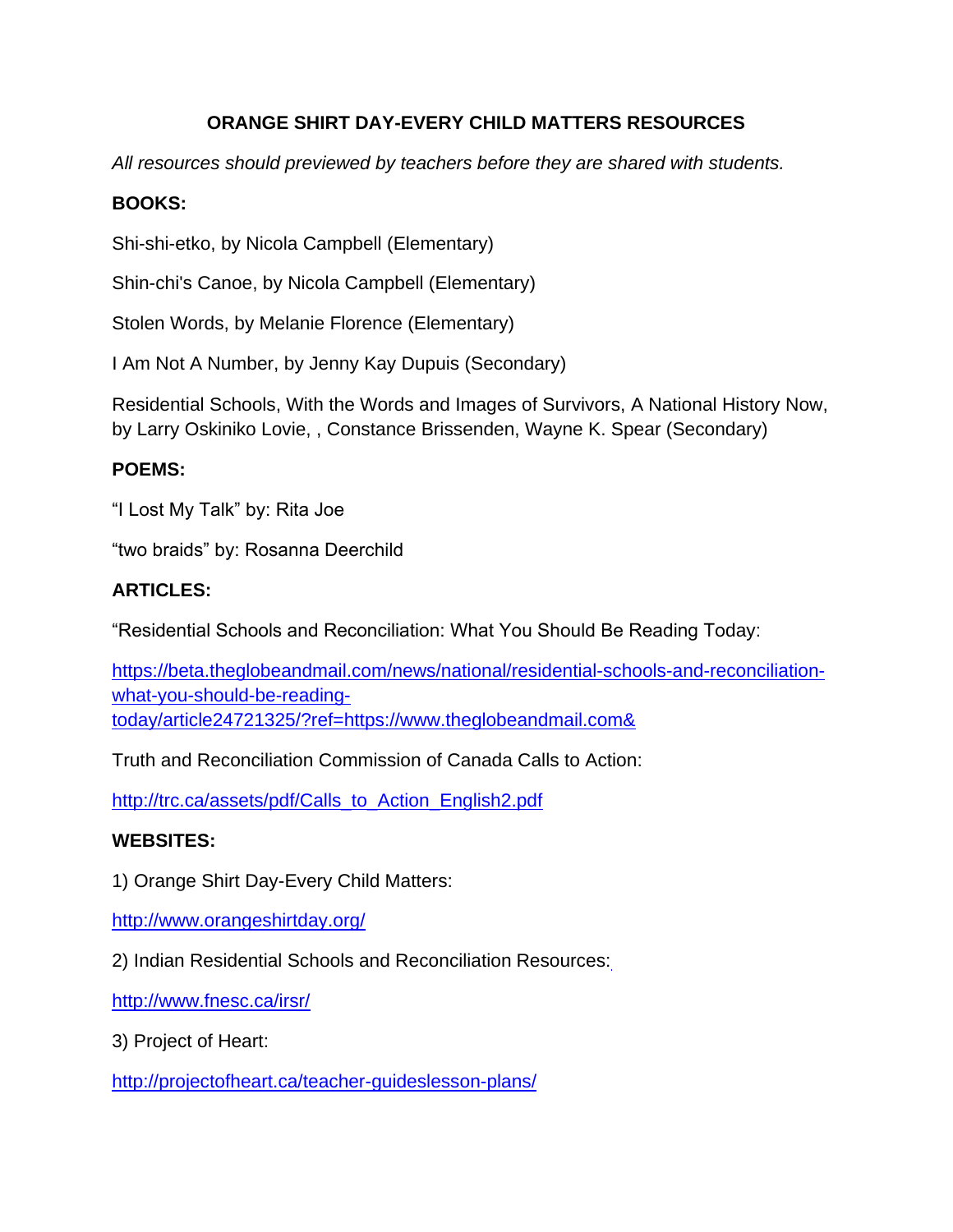# **ORANGE SHIRT DAY-EVERY CHILD MATTERS RESOURCES**

*All resources should previewed by teachers before they are shared with students.*

# **BOOKS:**

Shi-shi-etko, by Nicola Campbell (Elementary)

Shin-chi's Canoe, by Nicola Campbell (Elementary)

Stolen Words, by Melanie Florence (Elementary)

I Am Not A Number, by Jenny Kay Dupuis (Secondary)

Residential Schools, With the Words and Images of Survivors, A National History Now, by Larry Oskiniko Lovie, , Constance Brissenden, Wayne K. Spear (Secondary)

## **POEMS:**

"I Lost My Talk" by: Rita Joe

"two braids" by: Rosanna Deerchild

## **ARTICLES:**

"Residential Schools and Reconciliation: What You Should Be Reading Today:

https://beta.theglobeandmail.com/news/national/residential-schools-and-reconciliationwhat-you-should-be-readingtoday/article24721325/?ref=https://www.theglobeandmail.com&

Truth and Reconciliation Commission of Canada Calls to Action:

[http://trc.ca/assets/pdf/Calls\\_to\\_Action\\_English2.pdf](http://trc.ca/assets/pdf/Calls_to_Action_English2.pdf)

#### **WEBSITES:**

1) Orange Shirt Day-Every Child Matters:

<http://www.orangeshirtday.org/>

2) Indian Residential Schools and Reconciliation Resources:

<http://www.fnesc.ca/irsr/>

3) Project of Heart:

<http://projectofheart.ca/teacher-guideslesson-plans/>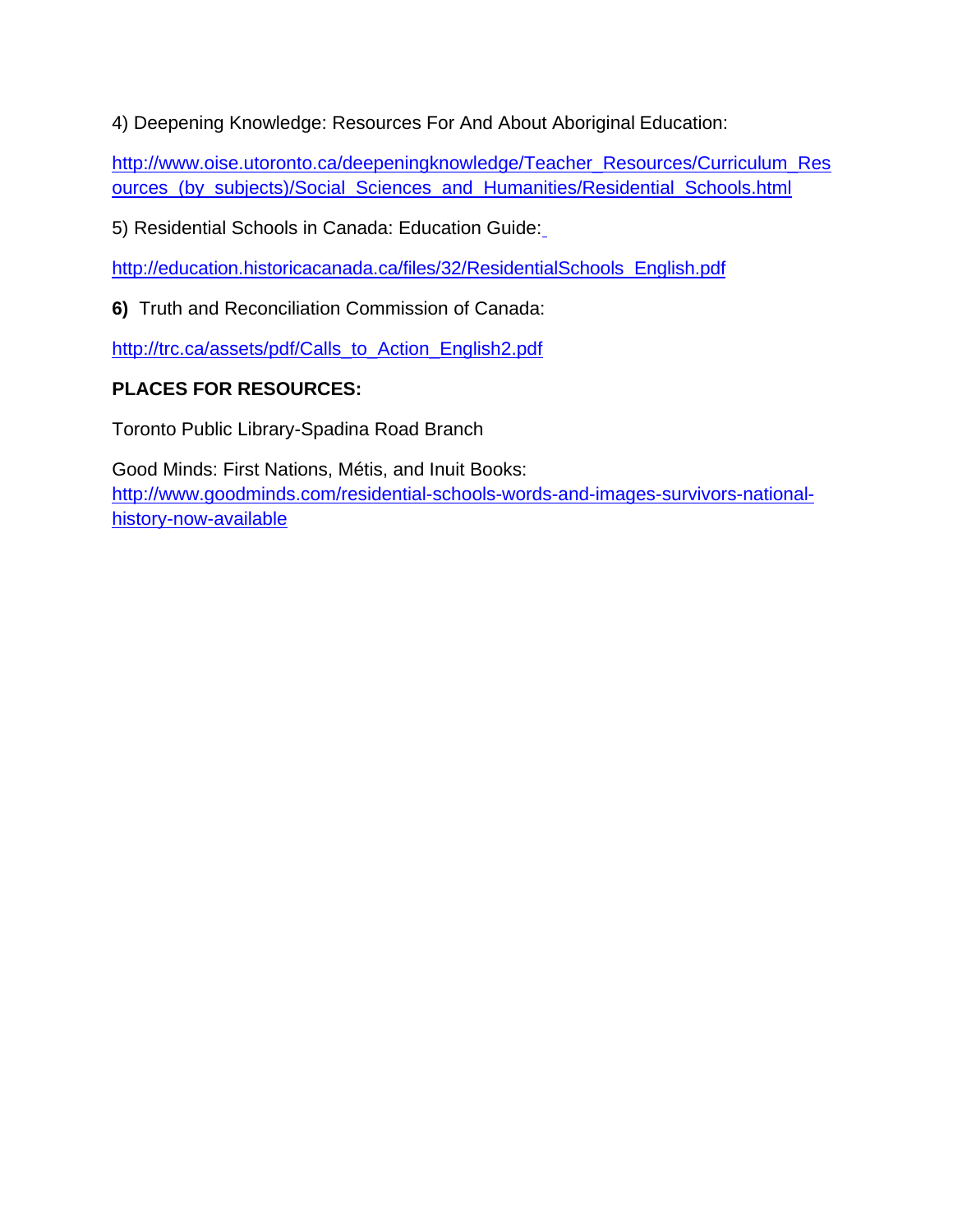4) Deepening Knowledge: Resources For And About Aboriginal Education:

[http://www.oise.utoronto.ca/deepeningknowledge/Teacher\\_Resources/Curriculum\\_Res](http://www.oise.utoronto.ca/deepeningknowledge/Teacher_Resources/Curriculum_Resources_(by_subjects)/Social_Sciences_and_Humanities/Residential_Schools.html) [ources\\_\(by\\_subjects\)/Social\\_Sciences\\_and\\_Humanities/Residential\\_Schools.html](http://www.oise.utoronto.ca/deepeningknowledge/Teacher_Resources/Curriculum_Resources_(by_subjects)/Social_Sciences_and_Humanities/Residential_Schools.html)

5) Residential Schools in Canada: Education Guide[:](http://education.historicacanada.ca/files/32/ResidentialSchools_English.pdf)

[http://education.historicacanada.ca/files/32/ResidentialSchools\\_English.pdf](http://education.historicacanada.ca/files/32/ResidentialSchools_English.pdf)

**6)** Truth and Reconciliation Commission of Canada:

[http://trc.ca/assets/pdf/Calls\\_to\\_Action\\_English2.pdf](http://trc.ca/assets/pdf/Calls_to_Action_English2.pdf)

# **PLACES FOR RESOURCES:**

Toronto Public Library-Spadina Road Branch

Good Minds: First Nations, Métis, and Inuit Books: [http://www.goodminds.com/residential-schools-words-and-images-survivors-national](http://www.goodminds.com/residential-schools-words-and-images-survivors-national-history-now-available)[history-now-available](http://www.goodminds.com/residential-schools-words-and-images-survivors-national-history-now-available)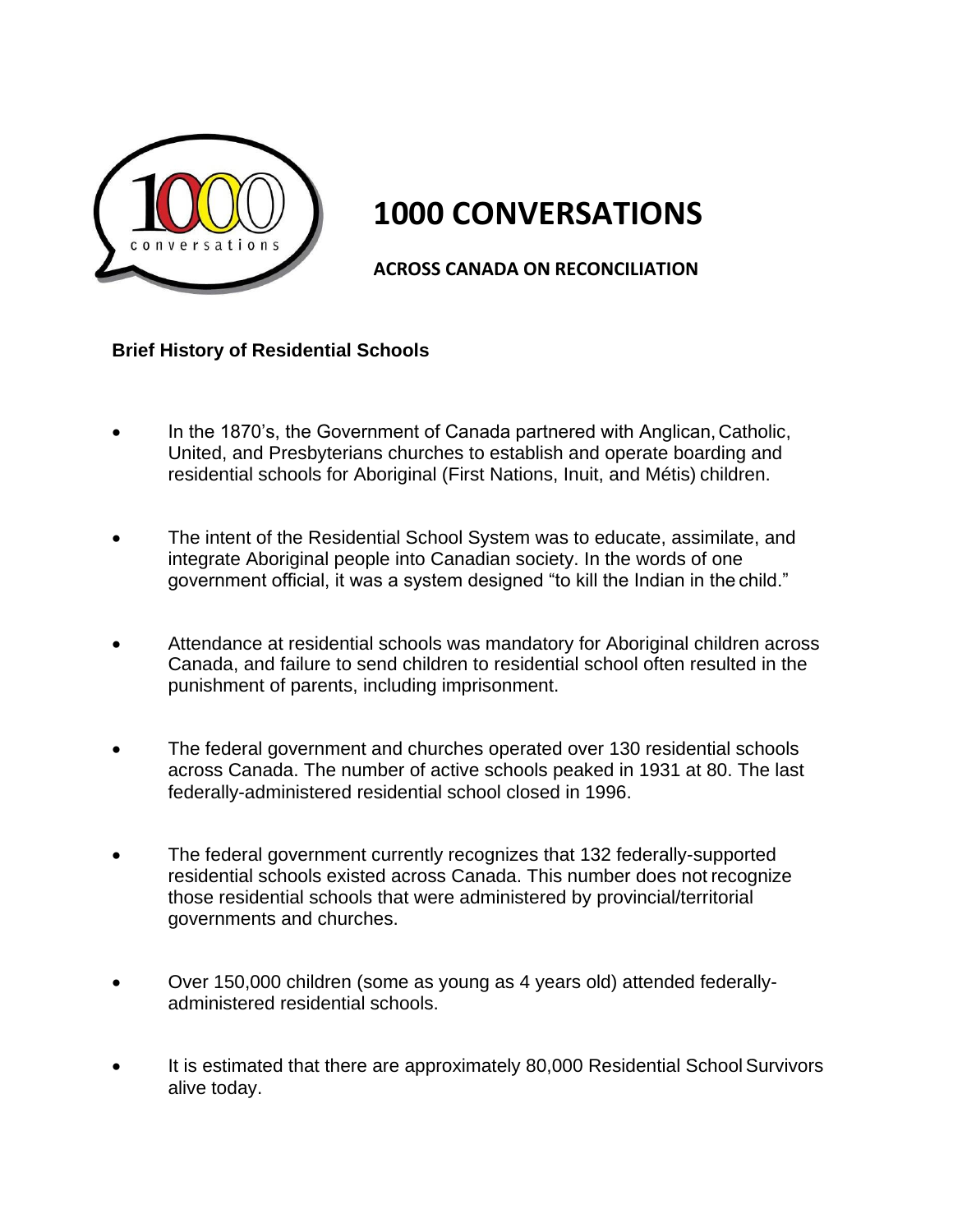

# **1000 CONVERSATIONS**

**ACROSS CANADA ON RECONCILIATION**

### **Brief History of Residential Schools**

- In the 1870's, the Government of Canada partnered with Anglican,Catholic, United, and Presbyterians churches to establish and operate boarding and residential schools for Aboriginal (First Nations, Inuit, and Métis) children.
- The intent of the Residential School System was to educate, assimilate, and integrate Aboriginal people into Canadian society. In the words of one government official, it was a system designed "to kill the Indian in the child."
- Attendance at residential schools was mandatory for Aboriginal children across Canada, and failure to send children to residential school often resulted in the punishment of parents, including imprisonment.
- The federal government and churches operated over 130 residential schools across Canada. The number of active schools peaked in 1931 at 80. The last federally-administered residential school closed in 1996.
- The federal government currently recognizes that 132 federally-supported residential schools existed across Canada. This number does not recognize those residential schools that were administered by provincial/territorial governments and churches.
- Over 150,000 children (some as young as 4 years old) attended federallyadministered residential schools.
- It is estimated that there are approximately 80,000 Residential SchoolSurvivors alive today.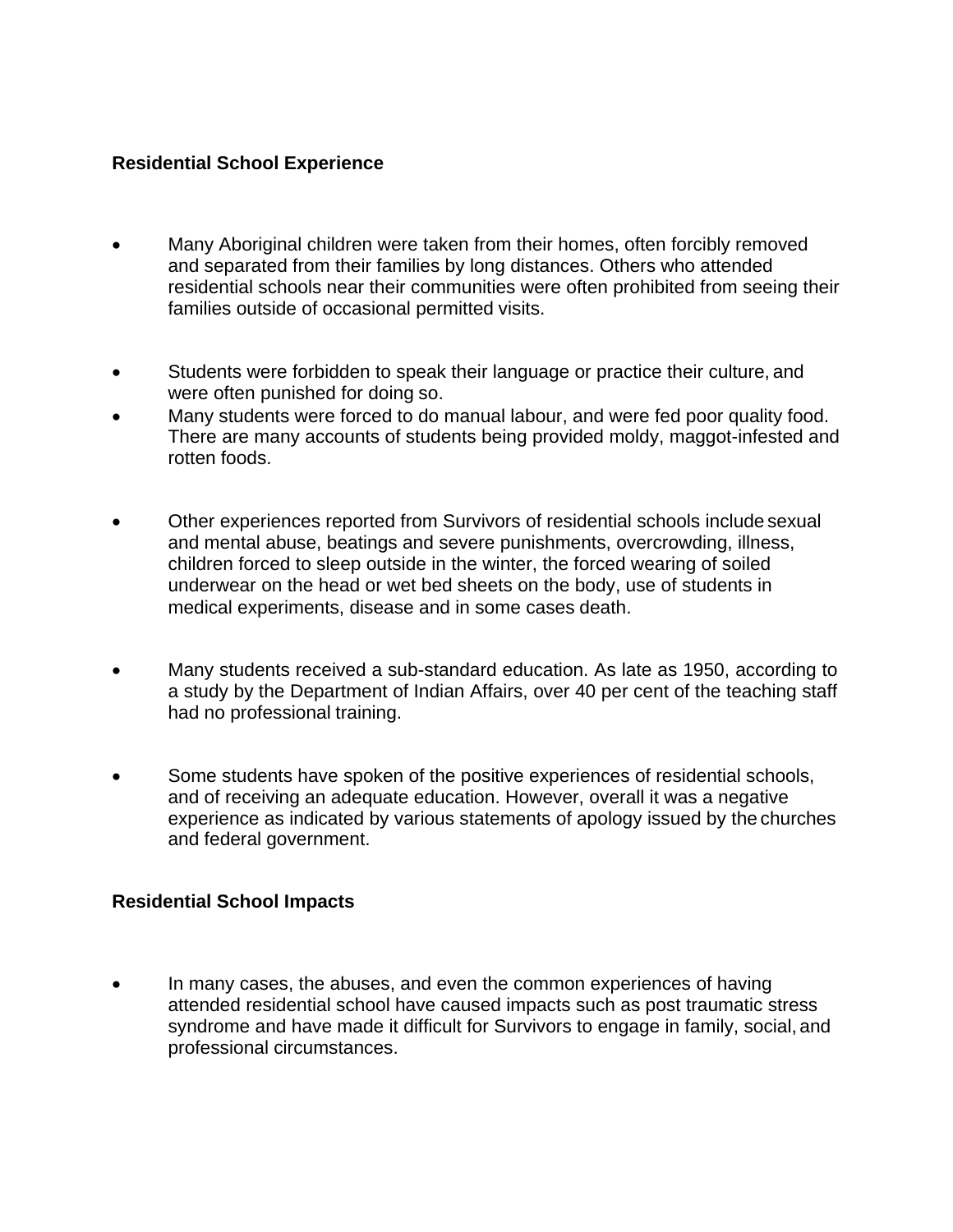#### **Residential School Experience**

- Many Aboriginal children were taken from their homes, often forcibly removed and separated from their families by long distances. Others who attended residential schools near their communities were often prohibited from seeing their families outside of occasional permitted visits.
- Students were forbidden to speak their language or practice their culture, and were often punished for doing so.
- Many students were forced to do manual labour, and were fed poor quality food. There are many accounts of students being provided moldy, maggot-infested and rotten foods.
- Other experiences reported from Survivors of residential schools include sexual and mental abuse, beatings and severe punishments, overcrowding, illness, children forced to sleep outside in the winter, the forced wearing of soiled underwear on the head or wet bed sheets on the body, use of students in medical experiments, disease and in some cases death.
- Many students received a sub-standard education. As late as 1950, according to a study by the Department of Indian Affairs, over 40 per cent of the teaching staff had no professional training.
- Some students have spoken of the positive experiences of residential schools, and of receiving an adequate education. However, overall it was a negative experience as indicated by various statements of apology issued by the churches and federal government.

## **Residential School Impacts**

 In many cases, the abuses, and even the common experiences of having attended residential school have caused impacts such as post traumatic stress syndrome and have made it difficult for Survivors to engage in family, social, and professional circumstances.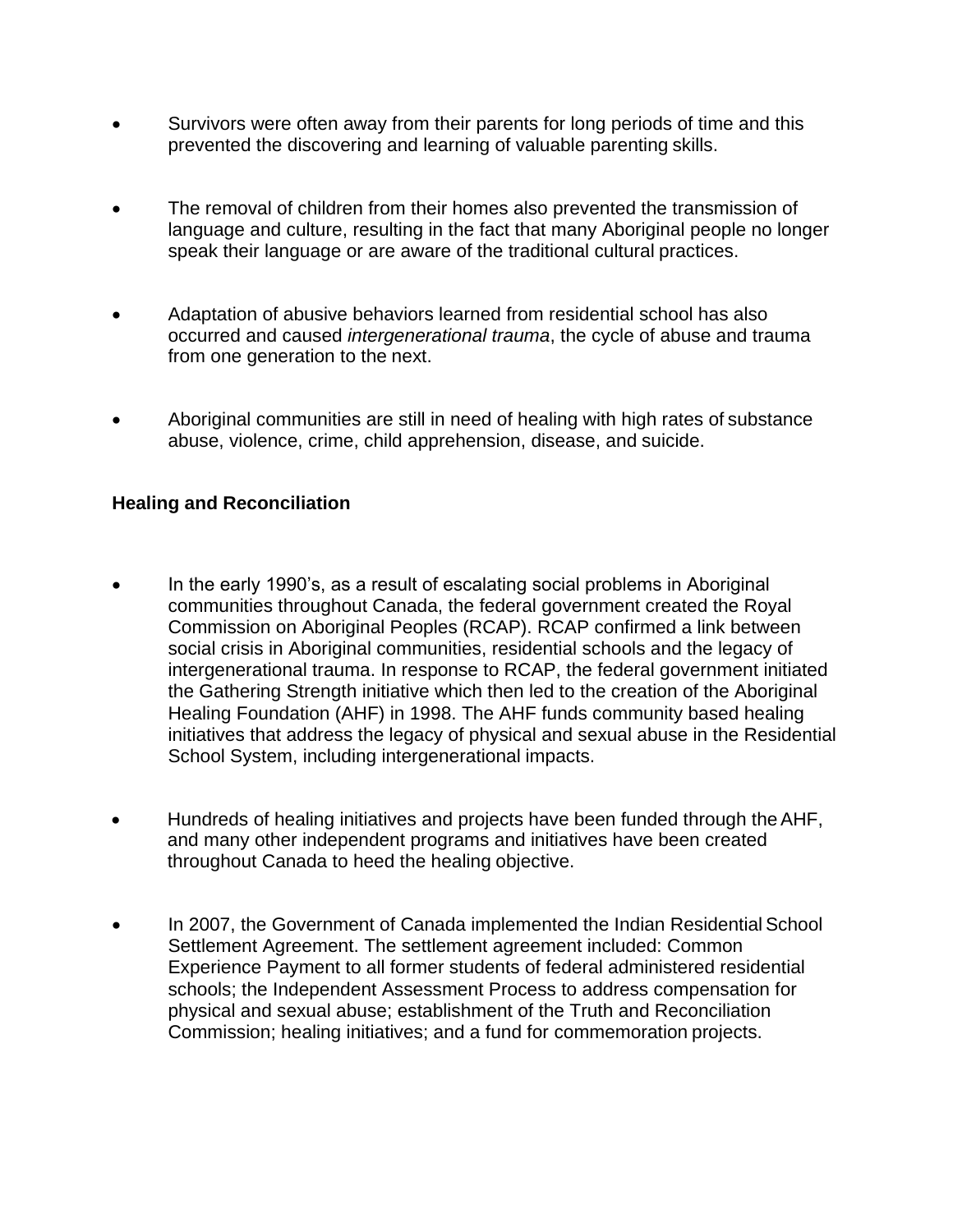- Survivors were often away from their parents for long periods of time and this prevented the discovering and learning of valuable parenting skills.
- The removal of children from their homes also prevented the transmission of language and culture, resulting in the fact that many Aboriginal people no longer speak their language or are aware of the traditional cultural practices.
- Adaptation of abusive behaviors learned from residential school has also occurred and caused *intergenerational trauma*, the cycle of abuse and trauma from one generation to the next.
- Aboriginal communities are still in need of healing with high rates of substance abuse, violence, crime, child apprehension, disease, and suicide.

## **Healing and Reconciliation**

- In the early 1990's, as a result of escalating social problems in Aboriginal communities throughout Canada, the federal government created the Royal Commission on Aboriginal Peoples (RCAP). RCAP confirmed a link between social crisis in Aboriginal communities, residential schools and the legacy of intergenerational trauma. In response to RCAP, the federal government initiated the Gathering Strength initiative which then led to the creation of the Aboriginal Healing Foundation (AHF) in 1998. The AHF funds community based healing initiatives that address the legacy of physical and sexual abuse in the Residential School System, including intergenerational impacts.
- Hundreds of healing initiatives and projects have been funded through theAHF, and many other independent programs and initiatives have been created throughout Canada to heed the healing objective.
- In 2007, the Government of Canada implemented the Indian Residential School Settlement Agreement. The settlement agreement included: Common Experience Payment to all former students of federal administered residential schools; the Independent Assessment Process to address compensation for physical and sexual abuse; establishment of the Truth and Reconciliation Commission; healing initiatives; and a fund for commemoration projects.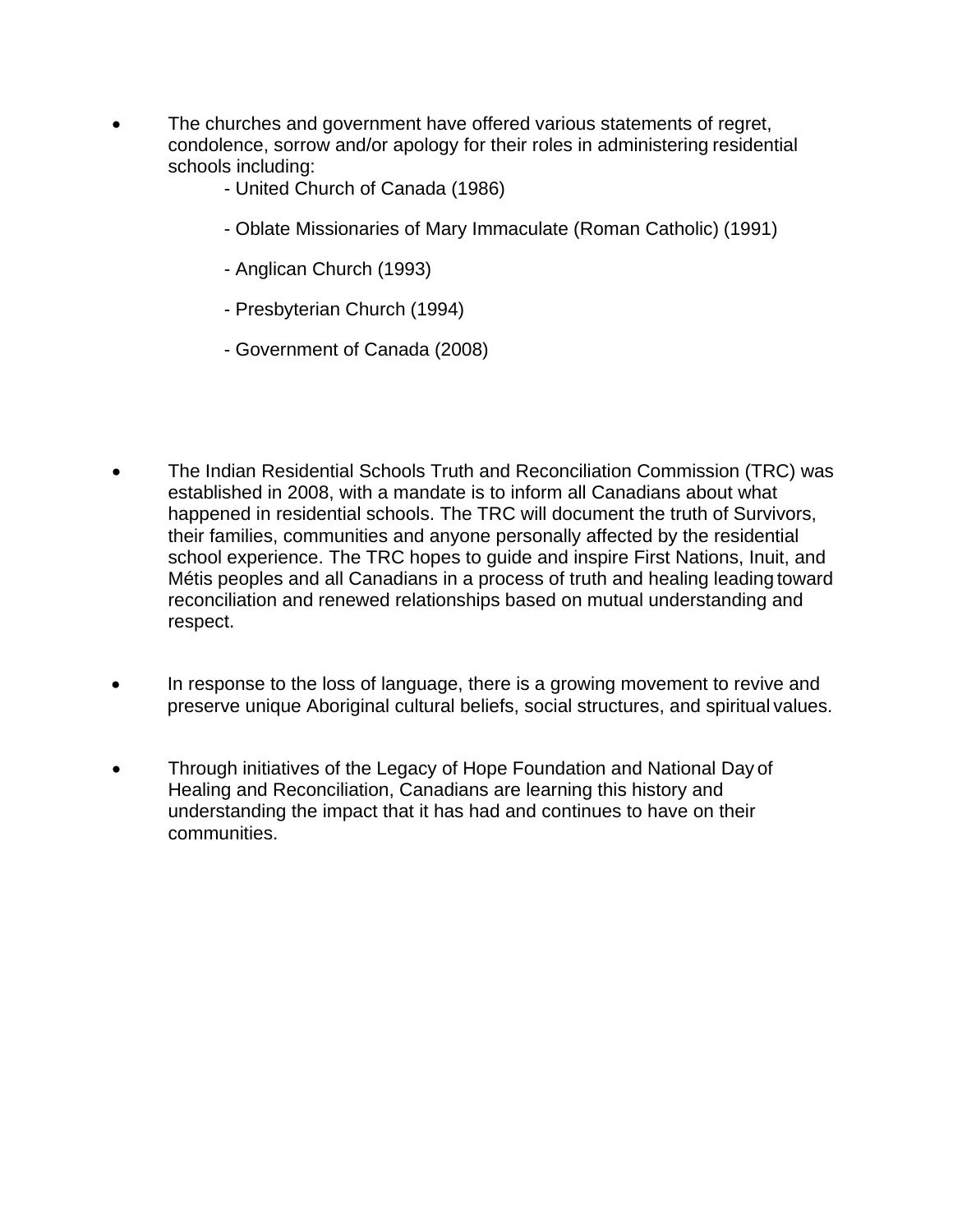- The churches and government have offered various statements of regret, condolence, sorrow and/or apology for their roles in administering residential schools including:
	- United Church of Canada (1986)
	- Oblate Missionaries of Mary Immaculate (Roman Catholic) (1991)
	- Anglican Church (1993)
	- Presbyterian Church (1994)
	- Government of Canada (2008)
- The Indian Residential Schools Truth and Reconciliation Commission (TRC) was established in 2008, with a mandate is to inform all Canadians about what happened in residential schools. The TRC will document the truth of Survivors, their families, communities and anyone personally affected by the residential school experience. The TRC hopes to guide and inspire First Nations, Inuit, and Métis peoples and all Canadians in a process of truth and healing leading toward reconciliation and renewed relationships based on mutual understanding and respect.
- In response to the loss of language, there is a growing movement to revive and preserve unique Aboriginal cultural beliefs, social structures, and spiritual values.
- Through initiatives of the Legacy of Hope Foundation and National Day of Healing and Reconciliation, Canadians are learning this history and understanding the impact that it has had and continues to have on their communities.